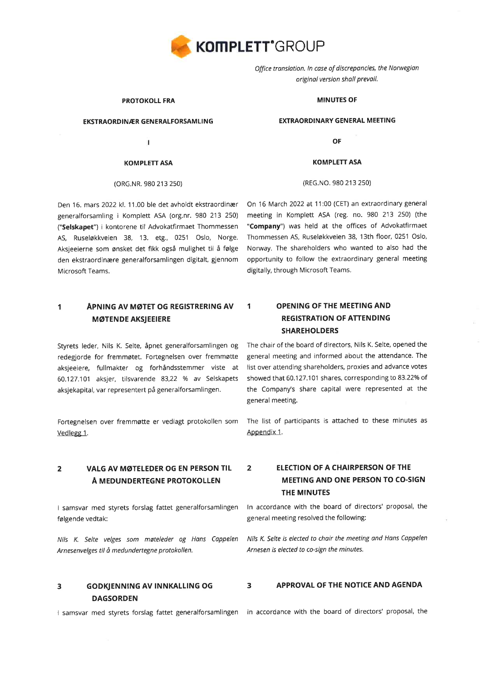

Office translotion. ln cose of discreponcies, the Norwegiøn originøl version sholl prevoil.

#### PROTOKOLL FRA

#### EKSTRAORDINÆR GENERALFORSAMLING

Т

#### KOMPLETT ASA

#### (oRG.NR. 980 213 2s0)

Den 16. mars 2022 kl. 11.00 ble det avholdt ekstraordinær generalforsamling i Komplett ASA (org.nr. 980 213 250) ("Selskapet") i kontorene til Advokatfirmaet Thommessen AS, Ruseløkkveien 38, 13. etg., 0251 Oslo, Norge. Aksjeeierne som ønsket det fikk også mulighet til å følge den ekstraordinære generalforsamlingen digitalt, gjennom Microsoft Teams.

# 1 APNING AV MØTET OG REGISTRERING AV MøTENDE AKSJEEIERE

Styrets leder, Nils K. Selte, åpnet generalforsamlingen og redegjorde for fremmøtet. Fortegnelsen over fremmøtte aksjeeiere, fullmakter og forhåndsstemmer viste at 60.127.101 aksjer, tilsvarende 83,22 % av Selskapets aksjekapital, var representert på generalforsamlingen.

Fortegnelsen over fremmøtte er vedlagt protokollen som Vedlegg 1.

# 2 VALG AV MøTEIEDER OG EN PERSON TIL Å MEDUNDERTEGNE PROTOKOLLEN

I samsvar med styrets forslag fattet generalforsamlingen følgende vedtak:

Nils K. Selte velges som møteleder og Hons Coppelen Arnesenvelges til å medundertegne protokollen.

# DAGSORDEN

lsamsvar med styrets forslag fattet generalforsamlingen in accordance with the board of directors'proposal, the

#### MINUTES OF

#### EXTRAORDINARY GENERAL MEETING

**OF** 

KOMPLETT ASA

#### (REG.NO. 980 213 2s0)

On 16 March 2022 at 11:00 (CET) an extraordinary general meeting in Komplett ASA (reg. no. 980 213 250) (the "Company") was held at the offices of Advokatfirmaet Thommessen AS, Ruseløkkveien 38, 13th floor, 0251 Oslo, Norway. The shareholders who wanted to also had the opportunity to follow the extraordinary general meeting digitally, through Microsoft Teams.

# 1 OPENING OF THE MEETING AND **REGISTRATION OF ATTENDING** SHAREHOLDERS

The chair of the board of directors, Nils K. Selte, opened the general meeting and informed about the attendance. The list over attending shareholders, proxies and advance votes showed that 60.127.101 shares, corresponding to 83.22% of the Company's share capital were represented at the general meeting.

The list of participants is attached to these minutes as Appendix 1.

# 2 ELECTION OF A CHAIRPERSON OF THE MEETING AND ONE PERSON TO CO.SIGN THE MINUTES

ln accordance with the board of directors' proposal, the general meeting resolved the following:

Nils K. Selte is elected to choir the meeting ond Hans Coppelen Arnesen is elected to co-sign the minutes.

#### 3 GODKJENNTNG AV TNNKALLTNG OG 3 APPROVAL OF THE NOTICE AND AGENDA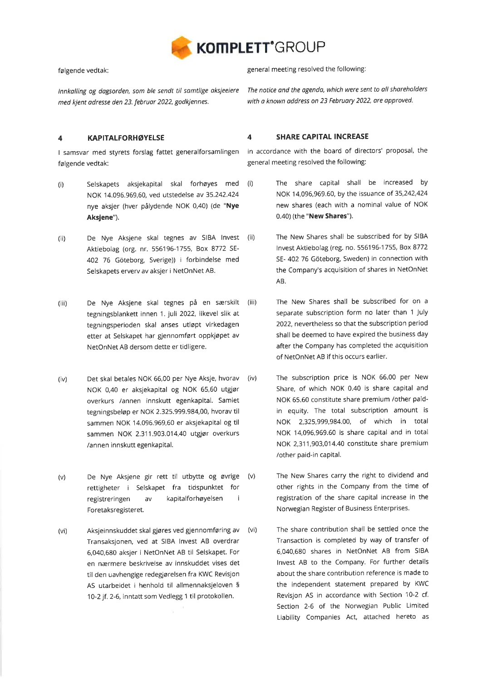

følgende vedtak:

Innkolling og dagsorden, som ble sendt til somtlige oksieeiere med kjent adresse den 23. februor 2022, godkiennes.

## 4 KAPITALFORHøYELSE

I samsvar med styrets forslag fattet generalforsamlingen følgende vedtak:

- (i) Selskapets aksjekapital skal forhøyes med (i) NOK 14.096.969,60, ved utstedelse av 35.242.424 nye aksjer (hver pålydende NOK 0,40) (de "Nye Aksjene").
- (ii) De Nye Aksjene skal tegnes av SIBA lnvest (ii) Aktiebolag (org. nr. 556196-1755, Box 8772 SE-402 76 Göteborg, Sverige)) i forbindelse med Selskapets eryerv av aksjer i NetOnNet AB.
- (iii) De Nye Aksjene skal tegnes på en særskilt (iii) tegningsblankett innen 1. juli 2022, Iikevel slik at tegningsperioden skal anses utløpt virkedagen etter at Selskapet har giennomført oppkjøpet av NetonNet AB dersom dette er tidligere.
- (iv) Det skal betales NOK 66,00 per Nye Aksje, hvorav (iv) NOK 0,40 er aksjekapital og NOK 65,60 utgør overkurs /annen innskutt egenkapital. Samlet tegningsbeløp er NOK 2.325.999.984,00, hvorav til sammen NOK 14.096.969,60 er aksjekapital og til sammen NOK 2.31 1.903.014,40 utgjør overkurs /annen innskutt egenkapital.
- (v) De Nye Aksjene gir rett til utbytte og øvrige (v) rettigheter i Selskapet fra tidspunktet for registreringen av kapitalforhøyelsen <sup>i</sup> Foretaksregisteret.
- (vi) Aksjeinnskuddet skal gjøres ved gjennomføring av (vi) Transaksjonen, ved at SIBA lnvest AB overdrar 6,040,680 aksjer i NetOnNet AB til Selskapet. For en nærmere beskrivelse av innskuddet vises det til den uavhengige redegiørelsen fra KWC Revisjon AS utarbeidet i henhold til allmennaksjeloven <sup>5</sup> 10-2 jf. 2-6, inntatt som Vedlegg 1 til protokollen.

general meeting resolved the following:

The notice and the agenda, which were sent to all shareholders with a known address on 23 February 2022, are approved.

### 4 SHARE CAPITAL INCREASE

in accordance with the board of directors' proposal, the general meeting resolved the following:

- The share capital shall be increased by NOK 14,096,969.60, by the issuance of 35,242,424 new shares (each with a nominal value of NOK 0.40) (the "New Shares").
	- The New Shares shall be subscribed for by SIBA lnvest Aktiebolag (reg. no. 5561 96-1 755, Box 8772 SE- 402 76 Göteborg, Sweden) in connection with the Company's acquisition of shares in NetonNet AB.
	- The New Shares shall be subscribed for on <sup>a</sup> separate subscription form no later than 1 July 2022, nevertheless so that the subscription period shall be deemed to have expired the business day after the Company has completed the acquisition of NetOnNet AB if this occurs earlier.
	- The subscription price is NOK 66.00 per New Share, of which NOK 0.40 is share capital and NOK 65.60 constitute share premium /other paidin equity. The total subscription amount is NOK 2,325,999,984.00, of which in total NOK 14,096,969.60 is share capital and in total NOK 2,31 1,903,014.40 constitute share premium /other paid-in capital.
		- The New Shares carry the right to dividend and other rights in the Company from the time of registration of the share capital increase in the Norwegian Register of Business Enterprises.
	- The share contribution shall be settled once the Transaction is completed by way of transfer of 6,040,680 shares in NetOnNet AB from SIBA lnvest AB to the Company. For further details about the share contribution reference is made to the independent statement prepared by KWC Revisjon AS in accordance with Section 10-2 cf. Section 2-6 of the Norwegian Public Limited Liability Companies Act, attached hereto as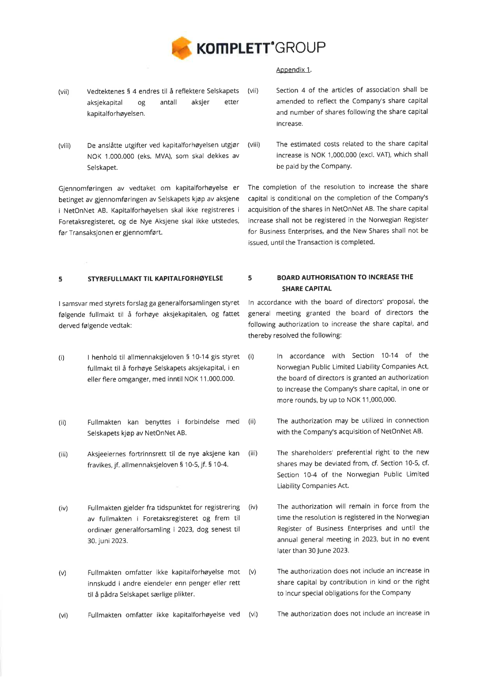

## Appendix 1.

- (vii) Vedtektenes 5 4 endres til å reflektere Selskapets (vii) aksjekapital og antall aksjer etter kapitalforhøyelsen.
- (viii) De anslåtte utgifter ved kapitalforhøyelsen utgjør (viii) NOK 1.000.000 (eks. MVA), som skal dekkes av Selskapet.

Gjennomføringen av vedtaket om kapitalforhøyelse er betinget av gjennomføringen av Selskapets kjøp av aksjene i NetOnNet AB. Kapitalforhøyelsen skal ikke registreres <sup>i</sup> Foretaksregisteret, og de Nye Aksjene skal ikke utstedes, før Transaksjonen er gjennomført.

Section 4 of the articles of association shall be amended to reflect the Company's share capital and number of shares following the share capital increase.

The estimated costs related to the share capital increase is NOK 1,000,000 (excl. VAT), which shall be paid by the Company.

The completion of the resolution to increase the share capital is conditional on the completion of the Company's acquisition of the shares in NetOnNet AB. The share capital increase shall not be registered in the Norwegian Register for Business Enterprises, and the New Shares shall not be issued, until the Transaction is completed.

# 5 STYREFULLMAKT TIL KAPITALFORHØYELSE

<sup>I</sup>samsvar med styrets forslag ga generalforsamlingen styret følgende fullmakt til å forhøye aksjekapitalen, og fattet derved følgende vedtak:

- (i) I henhold til allmennaksjeloven 5 10-14 gis styret (i) fullmakt til å forhøye Selskapets aksjekapital, i en eller flere omganger, med inntil NOK 11.000.000.
- (ii) Fullmakten kan benyttes i forbindelse med (ii) Selskapets kjøp av NetonNet AB.
- (iii) Aksjeeiernes fortrinnsrett til de nye aksjene kan (iii) fravikes, jf. allmennaksjeloven 5 10-5, jf. 5 10-4.
- (iv) Fullmakten gjelder fra tidspunktet for registrering (iv) av fullmakten i Foretaksregisteret og frem til ordinær generalforsamling i 2023, dog senest til 30. juni 2023.
- Fullmakten omfatter ikke kapitalforhøyelse mot (v) innskudd i andre eiendeler enn penger eller rett til å pådra Selskapet særlige plikter. (v)
- (vi) Fullmakten omfatter ikke kapitalforhøyelse ved (vi) The authorization does not include an increase in

# 5 BOARD AUTHORISATION TO INCREASE THE SHARE CAPITAL

ln accordance with the board of directors' proposal, the general meeting granted the board of directors the following authorization to increase the share capital, and thereby resolved the following:

- ln accordance with Section 10-14 of the Norwegian Public Limited Liability Companies Act, the board of directors is granted an authorization to increase the Company's share capital, in one or more rounds, by up to NOK 11,000,000.
- The authorization may be utilized in connection with the Company's acquisition of NetOnNet AB.
	- The shareholders' preferential right to the new shares may be deviated from, cf. Section 10-5, cf. Section 10-4 of the Norwegian Public Limited Liability Companies Act.
	- The authorization will remain in force from the time the resolution is registered in the Norwegian Register of Business Enterprises and until the annual general meeting in 2023, but in no event later than 30 June 2023.
		- The authorization does not include an increase in share capital by contribution in kind or the right to incur special obligations for the Company
			-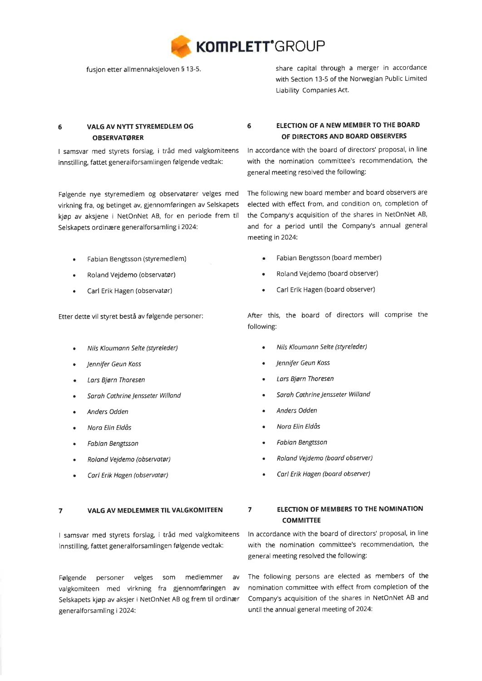

fusjon etter allmennaksjeloven 5 13-5.

share capital through a merger in accordance with Section 13-5 of the Norwegian Public Limited Liability Companies Act.

# 6 VALG AV NYTT STYREMEDLEM OG OBSERVATøRER

I samsvar med styrets forslag, i tråd med valgkomiteens innstilling, fattet generalforsamlingen følgende vedtak:

Følgende nye styremedlem og observatører velges med virkning fra, og betinget av, gjennomføringen av Selskapets kjøp av aksjene i NetonNet AB, for en periode frem til Selskapets ordinære generalforsamling i 2024:

- Fabian Bengtsson (sryremedlem) a
- Roland Vejdemo (observatør) a
- Carl Erik Hagen (observatør) a

Etter dette vil styret bestå av følgende personer:

- Nils Kloumonn Selte (styreleder) o
- Jennifer Geun Koss a
- Lars Bjørn Thoresen  $\bullet$
- Sarah Cathrine Jensseter Willand a
- Anders Odden a
- Noro Elin Eldås a
- Føbion Bengtsson a
- Roland Vejdemo (observatør) a
- Carl Erik Hagen (observatør) a

#### 7 VALG AV MEDLEMMER TIL VALGKOMITEEN

I samsvar med styrets forslag, i tråd med valgkomiteens innstilling, fattet generalforsamlingen følgende vedtak:

Følgende personer velges som medlemmer av valgkomiteen med virkning fra gjennomføringen av Selskapets kjøp av aksjer i NetonNet AB og frem til ordinær generalforsamling i 2024:

# 6 ELECTION OF A NEW MEMBERTO THE BOARD OF DIRECTORS AND BOARD OBSERVERS

ln accordance with the board of directors' proposal, in line with the nomination committee's recommendation, the general meeting resolved the following:

The following new board member and board observers are elected with effect from, and condition on, completion of the Company's acquisition of the shares in NetonNet AB, and for a period until the Company's annual general meeting in 2024:

- Fabian Bengtsson (board member)
- Roland Vejdemo (board observer) a
- Carl Erik Hagen (board observer) a

After this, the board of directors will comprise the following:

- Nils Kloumann Selte (styreleder)
- Jennifer Geun Koss
- . Lars Bjørn Thoresen
- . Sarah Cothrine Jensseter Willønd
- Anders Odden
- Nora Elin Eldås
- . Fobion Bengtsson
- . Roland Vejdemo (board observer)
- . Corl Erik Hogen (boord observer)

# 7 ELECTION OF MEMBERS TO THE NOMINATION COMMITTEE

ln accordance with the board of directors' proposal, in line with the nomination committee's recommendation, the general meeting resolved the following:

The following persons are elected as members of the nomination committee with effect from completion of the Company's acquisition of the shares in NetonNet AB and until the annual general meeting of 2024'.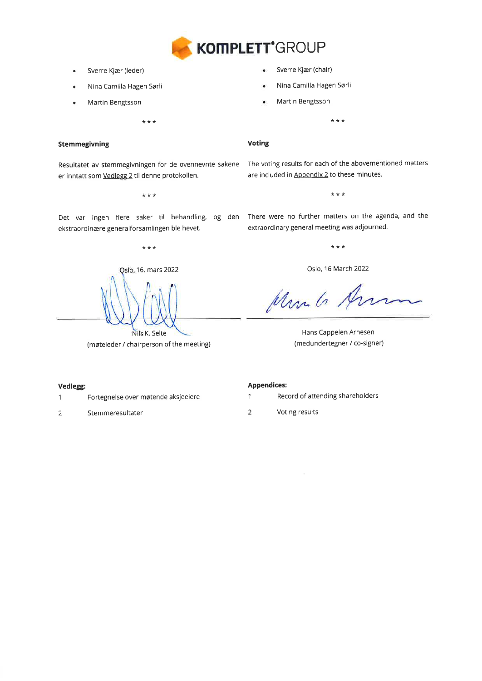

- a Sverre Kjær (leder)
- a Nina Camilla Hagen Sørli
- a Martin Bengtsson

 $\star$   $\star$   $\star$ 

## Stemmegivning

Resultatet av stemmegivningen for de ovennevnte sakene er inntatt som Vedlegg 2 til denne protokollen.

 $\star$   $\star$   $\star$ 

ekstraordinære generalforsamlingen ble hevet.

\*\*\*

Qslo, 16. mars 2022 Nils K. Selte

(møteleder / chairperson of the meeting)

Sverre Kjær (chair)

- Nina Camilla Hagen Sørli
- Martin Bengtsson

 $***$ 

## Voting

The voting results for each of the abovementioned matters are included in **Appendix 2** to these minutes.

\*\*\*

Det var ingen flere saker til behandling, og den There-were-no-further-matters-on-the-agenda, and the extraordinary general meeting was adjourned.

\*\*\*

Oslo, 16 March 2022

Mr. G. Arm

Hans Cappelen Arnesen (medundertegner / co-signer)

## Vedlegg:

- Fo rtegnelse over møtende aksjeeiere 1
- Stemmeresultater 2

#### Appendices:

- 1 Record of attending shareholders
- 2 Voting results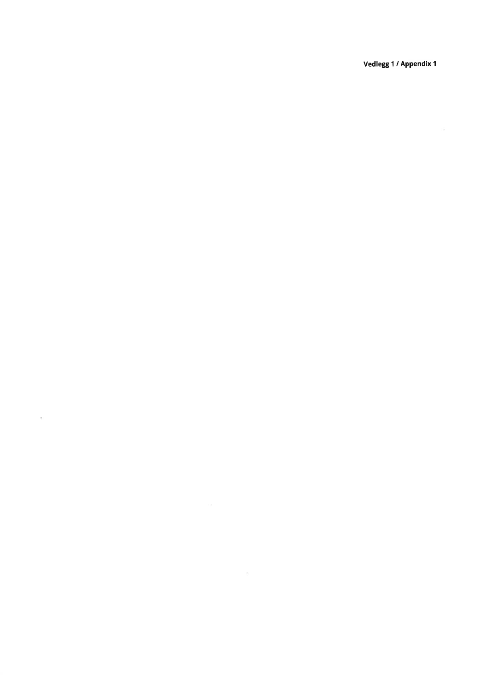Vedlegg 1/Appendix 1

 $\sim 0.5$ 

 $\sim 10^{-1}$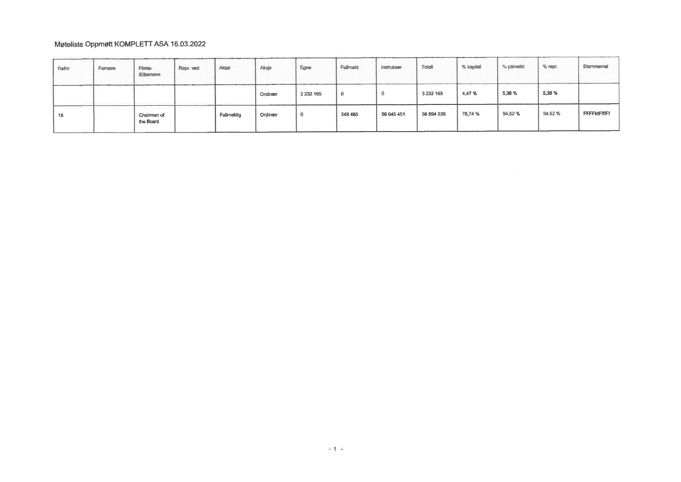# Møteliste Oppmøtt KOMPLETT ASA 16.03.2022

| Rafnr | Fomavn | Firma-<br><b>Ættemavn</b> | Repr. ved | Aktar      | Aksje   | Egne          | Fullmald | Instrukser | Totalt        | % kapital | % påmeldt | $\%$ repr. | Sternmemal        |
|-------|--------|---------------------------|-----------|------------|---------|---------------|----------|------------|---------------|-----------|-----------|------------|-------------------|
|       |        |                           |           |            | Ordinær | 3 2 3 1 1 6 5 | 0        |            | 3 2 3 2 1 6 5 | 4,47%     | 5,38%     | 5,38 %     |                   |
| 18    |        | Chairman of<br>the Board  |           | Fullmektig | Ordinær |               | 249 485  | 56 645 451 | 56 894 936    | 78,74 %   | 94,62%    | 94,62%     | <b>FFFFMFffFf</b> |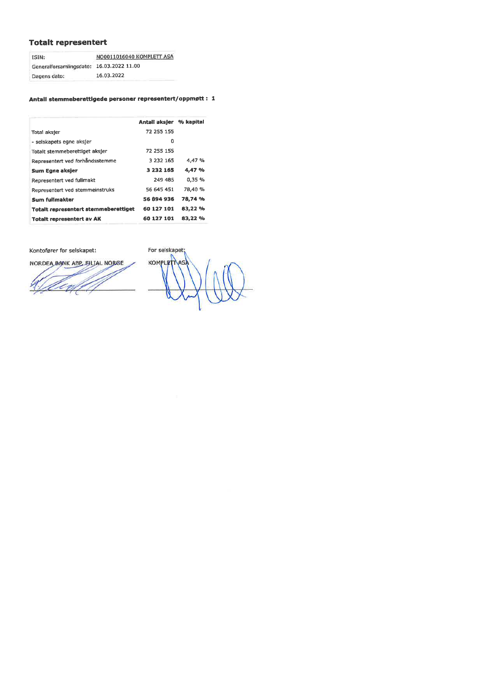# Totalt representert

| ISIN:                                    | NO0011016040 KOMPLETT ASA |  |  |  |  |
|------------------------------------------|---------------------------|--|--|--|--|
| Generalforsamlingsdato: 16.03.2022 11.00 |                           |  |  |  |  |
| Dagens dato:                             | 16.03.2022                |  |  |  |  |

# Antall stemmeberattigede personer representert/oppmøtt : 1

|                                      | Antall aksjer % kapital |         |
|--------------------------------------|-------------------------|---------|
| Total aksjer                         | 72 255 155              |         |
| - selskapets egne aksjer             | 0                       |         |
| Totalt stemmeberettiget aksjer       | 72 255 155              |         |
| Representert ved forhåndsstemme      | 3 232 165               | 4.47 %  |
| Sum Egne aksjer                      | 3 232 165               | 4,47 %  |
| Representert ved fullmakt            | 249 485                 | 0.35%   |
| Representert ved stemmeinstruks      | 56 645 451              | 78,40 % |
| Sum fullmakter                       | 56 894 936              | 78,74 % |
| Totalt representert stemmeberettiget | 60 127 101              | 83,22 % |
| <b>Totalt representert av AK</b>     | 60 127 101              | 83,22 % |

Kontofører for selskapet: For selskapet;

NORDEA BANK ABP FILIAL NORGE

KOMPLETTAS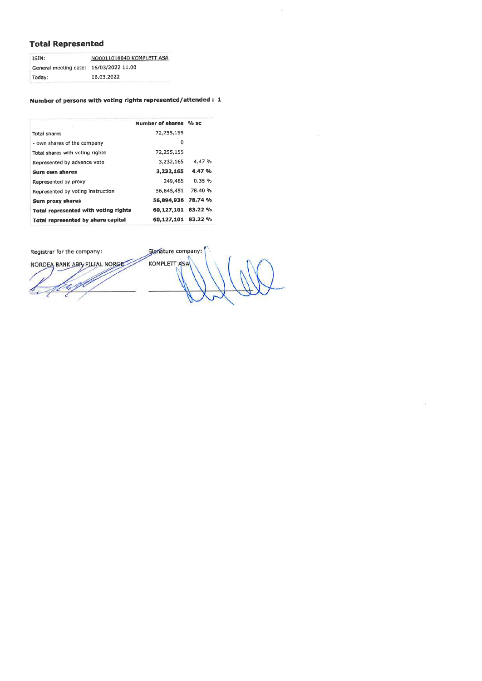# **Total Represented**

| ISIN:                 | NO0011016040 KOMPLETT ASA |  |  |  |  |
|-----------------------|---------------------------|--|--|--|--|
| General meeting date: | 16/03/2022 11.00          |  |  |  |  |
| Today:                | 16.03.2022                |  |  |  |  |

# Number of persons with voting rights represented/attended: 1

|                                      | Number of shares % sc |         |
|--------------------------------------|-----------------------|---------|
| <b>Total shares</b>                  | 72,255,155            |         |
| - own shares of the company          | ٥                     |         |
| Total shares with voting rights      | 72,255,155            |         |
| Represented by advance vote          | 3.232.165             | 4.47 %  |
| Sum own shares                       | 3,232,165             | 4.47 %  |
| Represented by proxy                 | 249,485               | 0.35%   |
| Represented by voting Instruction    | 56,645,451            | 78.40 % |
| Sum proxy shares                     | 56,894,936            | 78.74 % |
| Total represented with voting rights | 60,127,101 83.22 %    |         |
| Total represented by share capital   | 60,127,101 83.22 %    |         |
|                                      |                       |         |

Registrar for the company:

NORDEA BANK ABP, FILIAL NORGE

Signature company: KOMPLETT ASA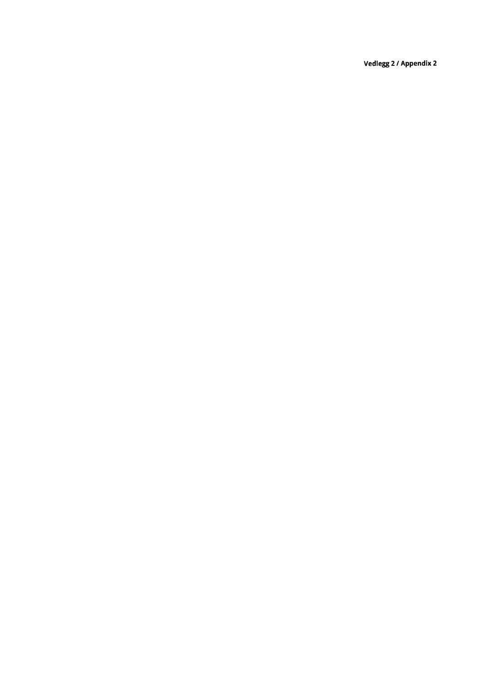Vedlegg 2 / Appendix 2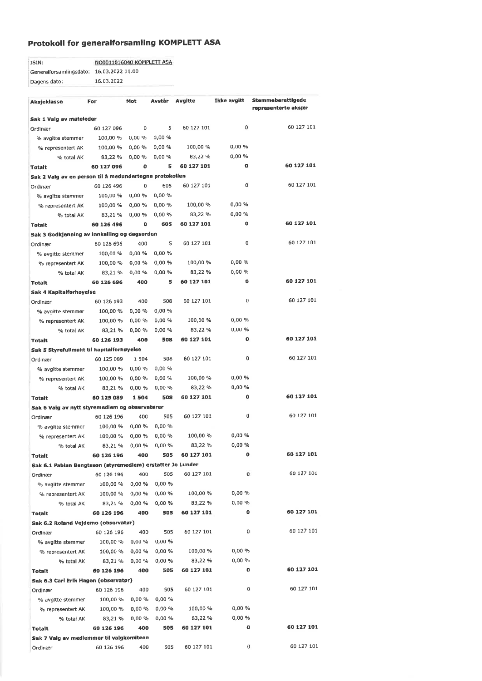# Protokoll for generalforsamling KOMPLETT ASA

| ISIN:                                    | NO0011016040 KOMPLETT ASA |
|------------------------------------------|---------------------------|
| Generalforsamlingsdato: 16.03.2022 11.00 |                           |
| Dagens dato:                             | 16.03.2022                |

| representerte aksjer<br>Sak 1 Valg av møteleder                                                    |            |
|----------------------------------------------------------------------------------------------------|------------|
|                                                                                                    |            |
| 60 127 101<br>0<br>5<br>60 127 101<br>0<br>60 127 096<br>Ordinær                                   |            |
| 0,00 %<br>0,00 %<br>100,00 %<br>% avgitte stemmer                                                  |            |
| 100,00 %<br>0,00 %<br>0,00%<br>100,00 %<br>0,00%<br>% representert AK                              |            |
| 0.00%<br>83,22 %<br>0,00%<br>0,00%<br>83,22 %<br>% total AK                                        |            |
| 60 127 101<br>o<br>60 127 101<br>60 127 096<br>0<br>5<br><b>Totalt</b>                             |            |
| Sak 2 Valg av en person til å medundertegne protokollen                                            |            |
| 60 127 101<br>0<br>605<br>60 127 101<br>60 126 496<br>0<br>Ordinær                                 |            |
| 0,00%<br>100,00 %<br>0,00%<br>% avgitte stemmer                                                    |            |
| 0,00%<br>0,00%<br>100,00 %<br>0,00%<br>100,00 %<br>% representert AK                               |            |
| 0,00%<br>0,00%<br>83,22 %<br>0,00%<br>% total AK<br>83,21%                                         |            |
| 60 127 101<br>$\bf o$<br>60 127 101<br>o<br>605<br>60 126 496<br><b>Totalt</b>                     |            |
| Sak 3 Godkjenning av innkalling og dagsorden                                                       |            |
| 60 127 101<br>0<br>5<br>60 127 101<br>60 126 696<br>400<br>Ordinær                                 |            |
| 0,00%<br>0,00 %<br>100,00 %<br>% avgitte stemmer                                                   |            |
| 100,00 %<br>0,00 %<br>0,00%<br>0,00%<br>100.00 %<br>% representert AK                              |            |
| $0,00\%$<br>0,00%<br>83,22 %<br>0,00%<br>% total AK<br>83,21 %                                     |            |
| 60 127 101<br>60 127 101<br>o<br>5<br>60 126 696<br>400<br><b>Totalt</b>                           |            |
| Sak 4 Kapitalforhøyelse                                                                            |            |
| 60 127 101<br>0<br>508<br>60 127 101<br>60 126 193<br>400<br>Ordinær                               |            |
| 0,00%<br>100,00 %<br>0,00 %<br>% avgitte stemmer                                                   |            |
| 0,00 %<br>100,00 %<br>0,00%<br>100,00 %<br>0,00%<br>% representert AK                              |            |
| 0,00%<br>83,22 %<br>0,00%<br>% total AK<br>83,21 %<br>0,00 %                                       |            |
| 60 127 101<br>0<br>508<br>60 127 101<br>60 126 193<br>400<br>Totalt                                |            |
| Sak 5 Styrefullmakt til kapitalforhøyelse                                                          |            |
| 60 127 101<br>0<br>508<br>60 127 101<br>60 125 089<br>1 504<br>Ordinær                             |            |
| 0,00%<br>100,00 %<br>0,00 %<br>% avgitte stemmer                                                   |            |
| 100,00 %<br>0,00%<br>0,00%<br>0,00%<br>100,00 %<br>% representert AK                               |            |
| 0,00 %<br>83,22 %<br>0,00 %<br>% total AK<br>83,21 %<br>0,00 %                                     |            |
| 60 127 101<br>0<br>508<br>60 127 101<br>60 125 089<br>1504<br><b>Totalt</b>                        |            |
| Sak 6 Valg av nytt styremedlem og observatører                                                     |            |
| 60 127 101<br>0<br>505<br>60 127 101<br>400<br>60 126 196<br>Ordinær                               |            |
| $0,00\%$<br>0,00%<br>100,00 %<br>% avgitte stemmer                                                 |            |
| 0,00%<br>0,00 %<br>100,00 %<br>100,00 %<br>0,00%<br>% representert AK                              |            |
| 0,00%<br>83,22%<br>0,00%<br>0.00%<br>% total AK<br>83,21%                                          |            |
| 60 127 101<br>0<br>400<br>505<br>60 127 101<br>60 126 196<br><b>Totalt</b>                         |            |
| Sak 6.1 Fabian Bengtsson (styremedlem) erstatter Jo Lunder                                         |            |
| 60 127 101<br>0<br>505<br>60 127 101<br>400<br>60 126 196<br>Ordinær                               |            |
| 0,00 %<br>0,00%<br>100,00 %<br>% avgitte stemmer                                                   |            |
| 0,00%<br>0,00%<br>100,00 %<br>100,00 %<br>0,00%<br>% representert AK                               |            |
| 83,22 %<br>0,00 %<br>0,00%<br>0,00%<br>83,21%<br>% total AK                                        |            |
| 60 127 101<br>0<br>60 127 101<br>400<br>505<br>60 126 196<br><b>Totalt</b>                         |            |
| Sak 6.2 Roland Vejdemo (observatør)<br>60 127 101                                                  |            |
| 0<br>400<br>505<br>60 127 101<br>60 126 196<br>Ordinær                                             |            |
| 0,00 %<br>0,00%<br>100,00 %<br>% avgitte stemmer                                                   |            |
| 0,00 %<br>0,00%<br>100,00 %<br>100,00 %<br>0,00%<br>% representert AK                              |            |
| 83,22 %<br>$0,00 \%$<br>0,00 %<br>83,21 %<br>0.00%<br>% total AK<br>60 127 101                     |            |
| o<br>505<br>60 127 101<br>400<br>60 126 196<br><b>Totalt</b>                                       |            |
| Sak 6.3 Carl Erik Hagen (observatør)<br>0                                                          | 60 127 101 |
| 60 127 101<br>400<br>505<br>60 126 196<br>Ordinær                                                  |            |
| 0,00%<br>0,00 %<br>% avgitte stemmer<br>100,00 %                                                   |            |
| 0,00 %<br>0,00 %<br>100,00 %<br>100,00 %<br>0,00%<br>% representert AK<br>0,00%                    |            |
| 0,00 %<br>83,22 %<br>0,00%<br>% total AK<br>83,21 %<br>60 127 101<br>o                             |            |
| 400<br>505<br>60 127 101<br>60 126 196<br><b>Totalt</b>                                            |            |
| Sak 7 Valg av medlemmer til valgkomiteen<br>60 127 101<br>0<br>400<br>505<br>60 126 196<br>Ordinær | 60 127 101 |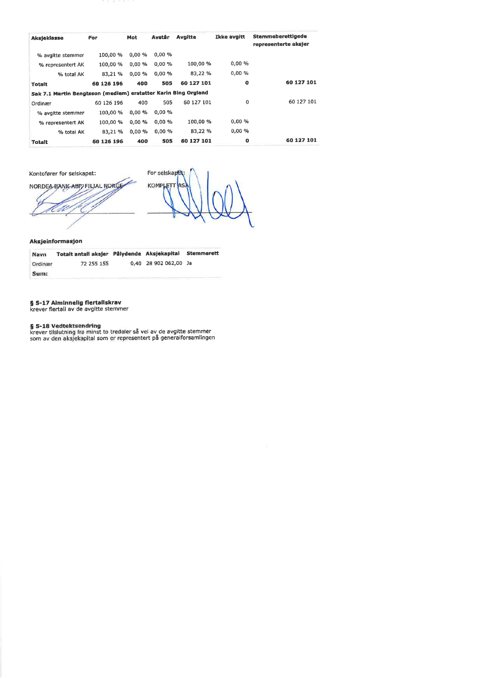| <b>Aksjeklasse</b>                                             | For        | Mot       | Avstår | <b>Avgitte</b> | Ikke avgitt | Stemmeberettigede<br>representerte aksjer |
|----------------------------------------------------------------|------------|-----------|--------|----------------|-------------|-------------------------------------------|
| % avgitte stemmer                                              | 100,00 %   | 0.00%     | 0.00%  |                |             |                                           |
| % representert AK                                              | 100,00 %   | $0.00 \%$ | 0,00%  | 100.00 %       | 0.00%       |                                           |
| % total AK                                                     | 83,21 %    | $0.00 \%$ | 0.00%  | 83,22 %        | 0,00%       |                                           |
| <b>Totalt</b>                                                  | 60 126 196 | 400       | 505    | 60 127 101     | o           | 60 127 101                                |
| Sak 7.1 Martin Bengtsson (medlem) erstatter Karin Bing Orgland |            |           |        |                |             |                                           |
| Ordinær                                                        | 60 126 196 | 400       | 505    | 60 127 101     | 0           | 60 127 101                                |
| % avgitte stemmer                                              | 100.00 %   | $0.00 \%$ | 0.00%  |                |             |                                           |
| % representert AK                                              | 100,00 %   | 0.00%     | 0.00%  | 100,00 %       | 0,00%       |                                           |
| % total AK                                                     | 83,21 %    | $0.00 \%$ | 0,00%  | 83,22 %        | 0.00%       |                                           |
| <b>Totalt</b>                                                  | 60 126 196 | 400       | 505    | 60 127 101     | o           | 60 127 101                                |





#### Aksjeinformasjon

| Navn    | Totalt antali aksjer Pålydende Aksjekapital |                       | <b>Stemmerett</b> |
|---------|---------------------------------------------|-----------------------|-------------------|
| Ordinær | 72 255 155                                  | 0.40 28 902 062,00 Ja |                   |
| Sum:    |                                             |                       |                   |

# § 5-17 Alminnelig flertallskrav<br>krever flertall av de avgitte stemmer

**§ 5-18 Vedtektsendring**<br>krever tilslutning fra minst to tredeler så vel av de avgitte stemmer<br>som av den aksjekapital som er representert på generalforsamlingen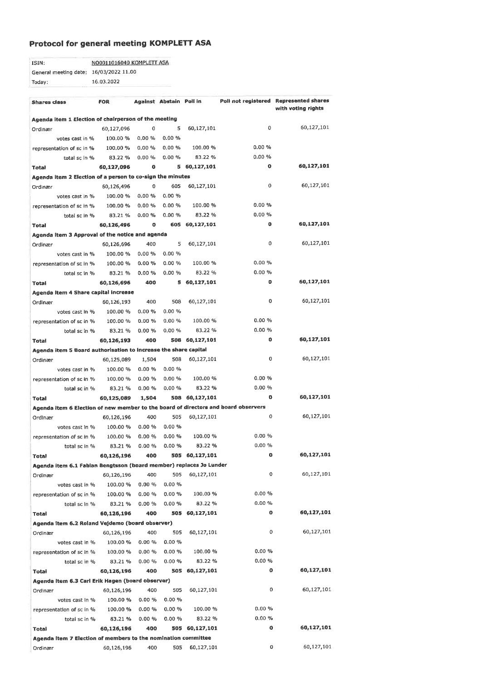# Protocol for general meeting KOMPLETT ASA

| ISIN:                                  | NO0011016040 KOMPLETT ASA |
|----------------------------------------|---------------------------|
| General meeting date: 16/03/2022 11.00 |                           |
| Today:                                 | 16.03.2022                |

| Shares class                                                                       | <b>FOR</b> |           | Against Abstain Pollin |                |           | Poli not registered Represented shares |
|------------------------------------------------------------------------------------|------------|-----------|------------------------|----------------|-----------|----------------------------------------|
|                                                                                    |            |           |                        |                |           | with voting rights                     |
| Agenda item 1 Election of chairperson of the meeting                               |            |           |                        |                |           |                                        |
| Ordinær                                                                            | 60,127,096 | 0         | 5                      | 60,127,101     | 0         | 60,127,101                             |
| votes cast in %                                                                    | 100.00 %   | 0.00%     | 0.00%                  |                |           |                                        |
| representation of sc in %                                                          | 100,00 %   | 0.00%     | 0.00%                  | 100.00 %       | 0.00%     |                                        |
| total sc in %                                                                      | 83.22 %    | 0.00%     | 0.00%                  | 83.22 %        | 0.00%     |                                        |
| Total                                                                              | 60,127,096 | o         | 5                      | 60,127,101     | o         | 60,127,101                             |
| Agenda item 2 Election of a person to co-sign the minutes                          |            |           |                        |                |           |                                        |
| Ordinær                                                                            | 60,126,496 | o         | 605                    | 60,127,101     | 0         | 60,127,101                             |
| votes cast in %                                                                    | 100.00 %   | 0.00%     | 0.00%                  |                |           |                                        |
| representation of sc in %                                                          | 100,00 %   | $0.00 \%$ | 0.00%                  | 100.00 %       | 0.00%     |                                        |
| total sc in %                                                                      | 83.21 %    | $0.00 \%$ | $0.00 \%$              | 83,22 %        | 0,00%     |                                        |
| Total                                                                              | 60,126,496 | 0         | 605                    | 60,127,101     | $\bullet$ | 60,127,101                             |
| Agenda item 3 Approval of the notice and agenda                                    |            |           |                        |                |           |                                        |
| Ordinær                                                                            | 60,126,696 | 400       | 5                      | 60,127,101     | 0         | 60,127,101                             |
| votes cast in %                                                                    | 100.00 %   | 0.00%     | 0.00%                  |                |           |                                        |
| representation of sc in %                                                          | 100.00 %   | $0.00 \%$ | 0.00%                  | 100.00 %       | 0.00%     |                                        |
| total sc in %                                                                      | 83.21 %    | 0.00%     | 0.00%                  | 83.22 %        | 0.00%     |                                        |
| Total                                                                              | 60,126,696 | 400       | 5                      | 60,127,101     | 0         | 60,127,101                             |
| Agenda Item 4 Share capital increase                                               |            |           |                        |                |           |                                        |
| Ordinær                                                                            | 60,126,193 | 400       | 508                    | 60,127,101     | 0         | 60,127,101                             |
| votes cast in %                                                                    | 100.00 %   | 0.00%     | 0.00%                  |                |           |                                        |
| representation of sc in %                                                          | 100.00 %   | 0.00%     | $0.00 \%$              | 100.00 %       | 0.00%     |                                        |
| total sc in %                                                                      | 83.21 %    | 0.00%     | 0.00%                  | 83.22%         | 0,00%     |                                        |
| Total                                                                              | 60,126,193 | 400       | 508                    | 60,127,101     | 0         | 60,127,101                             |
| Agenda item 5 Board authorisation to Increase the share capital                    |            |           |                        |                |           |                                        |
| Ordinær                                                                            | 60,125,089 | 1,504     | 508                    | 60,127,101     | 0         | 60,127,101                             |
| votes cast in %                                                                    | 100.00 %   | 0.00 %    | 0.00%                  |                |           |                                        |
| representation of sc in %                                                          | 100.00 %   | 0.00 %    | 0.00%                  | 100.00 %       | 0.00%     |                                        |
| total sc in %                                                                      | 83.21 %    | 0.00 %    | 0.00%                  | 83.22 %        | 0.00%     |                                        |
| <b>Total</b>                                                                       | 60,125,089 | 1,504     | 508                    | 60,127,101     | O         | 60,127,101                             |
| Agenda item 6 Election of new member to the board of directors and board observers |            |           |                        |                |           |                                        |
| Ordinær                                                                            | 60,126,196 | 400       | 505                    | 60,127,101     | 0         | 60,127,101                             |
| votes cast in %                                                                    | 100.00 %   | 0.00%     | 0.00%                  |                |           |                                        |
| representation of sc in %                                                          | 100.00 %   | 0.00%     | 0.00 %                 | 100.00 %       | 0.00%     |                                        |
| total sc in %                                                                      | 83.21 %    | 0.00%     | 0.00%                  | 83.22%         | 0.00%     |                                        |
| Total                                                                              | 60,126,196 | 400       | 505                    | 60,127,101     | 0         | 60,127,101                             |
| Agenda item 6.1 Fabian Bengtsson (board member) replaces Jo Lunder                 |            |           |                        |                |           |                                        |
| Ordinær                                                                            | 60,126,196 | 400       | 505                    | 60,127,101     | 0         | 60,127,101                             |
| votes cast in %                                                                    | 100.00 %   | 0.00 %    | 0.00%                  |                |           |                                        |
| representation of sc in %                                                          | 100.00 %   | $0.00 \%$ | 0.00%                  | 100.00 %       | $0.00 \%$ |                                        |
| total sc In %                                                                      | 83.21 %    | 0.00%     | 0.00%                  | 83.22%         | 0.00%     |                                        |
| Total                                                                              | 60,126,196 | 400       | 505                    | 60,127,101     | 0         | 60,127,101                             |
| Agenda item 6.2 Roland Vejdemo (board observer)                                    |            |           |                        |                |           |                                        |
| Ordinær                                                                            | 60,126,196 | 400       | 505                    | 60,127,101     | 0         | 60,127,101                             |
| votes cast in %                                                                    | 100.00 %   | 0.00%     | $0.00 \%$              |                |           |                                        |
| representation of sc in %                                                          | 100.00 %   | 0.00%     | 0.00 %                 | 100.00 %       | 0.00%     |                                        |
| total sc in %                                                                      | 83.21 %    | 0.00%     | $0.00 \%$              | 83.22 %        | 0.00 %    |                                        |
| Total                                                                              | 60,126,196 | 400       | 505                    | 60,127,101     | 0         | 60,127,101                             |
| Agenda Item 6.3 Carl Erik Hagen (board observer)                                   |            |           |                        |                |           |                                        |
| Ordinær                                                                            | 60,126,196 | 400       | 505                    | 60,127,101     | 0         | 60,127,101                             |
| votes cast In %                                                                    | 100.00 %   | 0.00%     | 0.00%                  |                |           |                                        |
| representation of sc in %                                                          | 100.00 %   | 0.00%     | 0.00 %                 | 100.00 %       | $0.00 \%$ |                                        |
| total sc in %                                                                      | 83.21 %    | $0.00 \%$ | 0.00%                  | 83.22 %        | $0.00 \%$ |                                        |
| Total                                                                              | 60,126,196 | 400       |                        | 505 60,127,101 | o         | 60,127,101                             |
| Agenda Item 7 Election of members to the nomination committee                      |            |           |                        |                |           |                                        |
| Ordinær                                                                            | 60,126,196 | 400       | 505                    | 60,127,101     | 0         | 60,127,101                             |